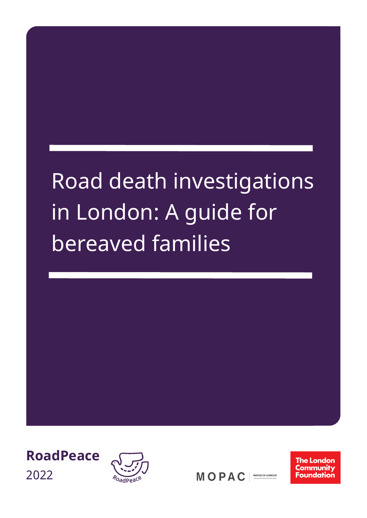# Road death investigations in London: A guide for bereaved families





MOPAC MAYOR OF LONDON **The London** Community **Foundation**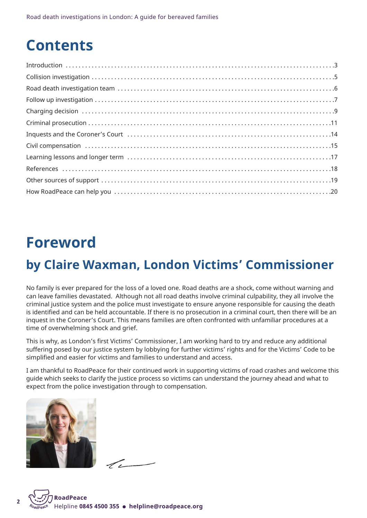## **Contents**

## **Foreword**

## **by Claire Waxman, London Victims' Commissioner**

No family is ever prepared for the loss of a loved one. Road deaths are a shock, come without warning and can leave families devastated. Although not all road deaths involve criminal culpability, they all involve the criminal justice system and the police must investigate to ensure anyone responsible for causing the death is identified and can be held accountable. If there is no prosecution in a criminal court, then there will be an inquest in the Coroner's Court. This means families are often confronted with unfamiliar procedures at a time of overwhelming shock and grief.

This is why, as London's first Victims' Commissioner, I am working hard to try and reduce any additional suffering posed by our justice system by lobbying for further victims' rights and for the Victims' Code to be simplified and easier for victims and families to understand and access.

I am thankful to RoadPeace for their continued work in supporting victims of road crashes and welcome this guide which seeks to clarify the justice process so victims can understand the journey ahead and what to expect from the police investigation through to compensation.



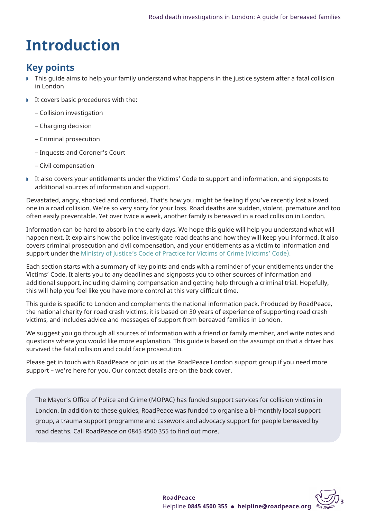## **Introduction**

## **Key points**

- w This guide aims to help your family understand what happens in the justice system after a fatal collision in London
- $\blacktriangleright$  It covers basic procedures with the:
	- Collision investigation
	- Charging decision
	- Criminal prosecution
	- Inquests and Coroner's Court
	- Civil compensation
- It also covers your entitlements under the Victims' Code to support and information, and signposts to additional sources of information and support.

Devastated, angry, shocked and confused. That's how you might be feeling if you've recently lost a loved one in a road collision. We're so very sorry for your loss. Road deaths are sudden, violent, premature and too often easily preventable. Yet over twice a week, another family is bereaved in a road collision in London.

Information can be hard to absorb in the early days. We hope this guide will help you understand what will happen next. It explains how the police investigate road deaths and how they will keep you informed. It also covers criminal prosecution and civil compensation, and your entitlements as a victim to information and support under the Ministry of Justice's Code of Practice for Victims of Crime [\(Victims'](https://assets.publishing.service.gov.uk/government/uploads/system/uploads/attachment_data/file/476900/code-of-practice-for-victims-of-crime.PDF) Code).

Each section starts with a summary of key points and ends with a reminder of your entitlements under the Victims' Code. It alerts you to any deadlines and signposts you to other sources of information and additional support, including claiming compensation and getting help through a criminal trial. Hopefully, this will help you feel like you have more control at this very difficult time.

This guide is specific to London and complements the national information pack. Produced by RoadPeace, the national charity for road crash victims, it is based on 30 years of experience of supporting road crash victims, and includes advice and messages of support from bereaved families in London.

We suggest you go through all sources of information with a friend or family member, and write notes and questions where you would like more explanation. This guide is based on the assumption that a driver has survived the fatal collision and could face prosecution.

Please get in touch with RoadPeace or join us at the RoadPeace London support group if you need more support – we're here for you. Our contact details are on the back cover.

The Mayor's Office of Police and Crime (MOPAC) has funded support services for collision victims in London. In addition to these guides, RoadPeace was funded to organise a bi-monthly local support group, a trauma support programme and casework and advocacy support for people bereaved by road deaths. Call RoadPeace on 0845 4500 355 to find out more.

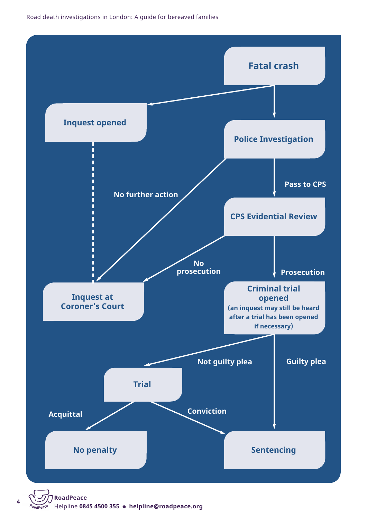

**<sup>4</sup> [Roa](http://www.roadpeace.org)dPeace** Helpline **0845 4500 355** l **[helpline@roadpeace.org](mailto:helpline@roadpeace.org)**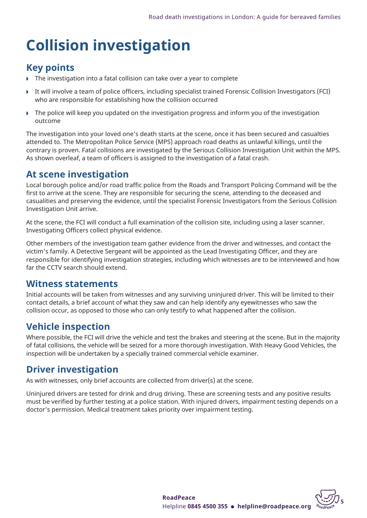## **Collision investigation**

## **Key points**

- The investigation into a fatal collision can take over a year to complete
- w It will involve a team of police officers, including specialist trained Forensic Collision Investigators (FCI) who are responsible for establishing how the collision occurred
- **F** The police will keep you updated on the investigation progress and inform you of the investigation outcome

The investigation into your loved one's death starts at the scene, once it has been secured and casualties attended to. The Metropolitan Police Service (MPS) approach road deaths as unlawful killings, until the contrary is proven. Fatal collisions are investigated by the Serious Collision Investigation Unit within the MPS. As shown overleaf, a team of officers is assigned to the investigation of a fatal crash.

## **At scene investigation**

Local borough police and/or road traffic police from the Roads and Transport Policing Command will be the first to arrive at the scene. They are responsible for securing the scene, attending to the deceased and casualities and preserving the evidence, until the specialist Forensic Investigators from the Serious Collision Investigation Unit arrive.

At the scene, the FCI will conduct a full examination of the collision site, including using a laser scanner. Investigating Officers collect physical evidence.

Other members of the investigation team gather evidence from the driver and witnesses, and contact the victim's family. A Detective Sergeant will be appointed as the Lead Investigating Officer, and they are responsible for identifying investigation strategies, including which witnesses are to be interviewed and how far the CCTV search should extend.

## **Witness statements**

Initial accounts will be taken from witnesses and any surviving uninjured driver. This will be limited to their contact details, a brief account of what they saw and can help identify any eyewitnesses who saw the collision occur, as opposed to those who can only testify to what happened after the collision.

## **Vehicle inspection**

Where possible, the FCI will drive the vehicle and test the brakes and steering at the scene. But in the majority of fatal collisions, the vehicle will be seized for a more thorough investigation. With Heavy Good Vehicles, the inspection will be undertaken by a specially trained commercial vehicle examiner.

## **Driver investigation**

As with witnesses, only brief accounts are collected from driver(s) at the scene.

Uninjured drivers are tested for drink and drug driving. These are screening tests and any positive results must be verified by further testing at a police station. With injured drivers, impairment testing depends on a doctor's permission. Medical treatment takes priority over impairment testing.

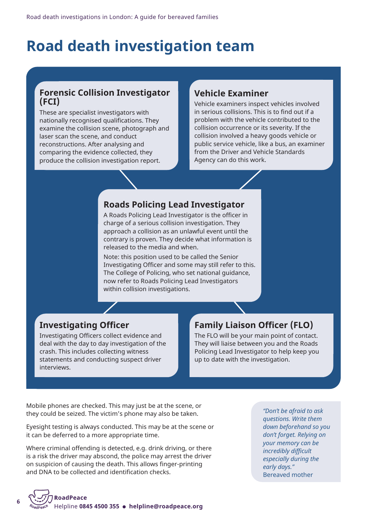## **Road death investigation team**

### **Forensic Collision Investigator (FCI)**

These are specialist investigators with nationally recognised qualifications. They examine the collision scene, photograph and laser scan the scene, and conduct reconstructions. After analysing and comparing the evidence collected, they produce the collision investigation report.

## **Vehicle Examiner**

Vehicle examiners inspect vehicles involved in serious collisions. This is to find out if a problem with the vehicle contributed to the collision occurrence or its severity. If the collision involved a heavy goods vehicle or public service vehicle, like a bus, an examiner from the Driver and Vehicle Standards Agency can do this work.

## **Roads Policing Lead Investigator**

A Roads Policing Lead Investigator is the officer in charge of a serious collision investigation. They approach a collision as an unlawful event until the contrary is proven. They decide what information is released to the media and when.

Note: this position used to be called the Senior Investigating Officer and some may still refer to this. The College of Policing, who set national guidance, now refer to Roads Policing Lead Investigators within collision investigations.

## **Investigating Officer**

Investigating Officers collect evidence and deal with the day to day investigation of the crash. This includes collecting witness statements and conducting suspect driver interviews.

## **Family Liaison Officer (FLO)**

The FLO will be your main point of contact. They will liaise between you and the Roads Policing Lead Investigator to help keep you up to date with the investigation.

Mobile phones are checked. This may just be at the scene, or they could be seized. The victim's phone may also be taken.

Eyesight testing is always conducted. This may be at the scene or it can be deferred to a more appropriate time.

Where criminal offending is detected, e.g. drink driving, or there is a risk the driver may abscond, the police may arrest the driver on suspicion of causing the death. This allows finger-printing and DNA to be collected and identification checks.

*"Don't be afraid to ask questions. Write them down beforehand so you don't forget. Relying on your memory can be incredibly difficult especially during the early days."* Bereaved mother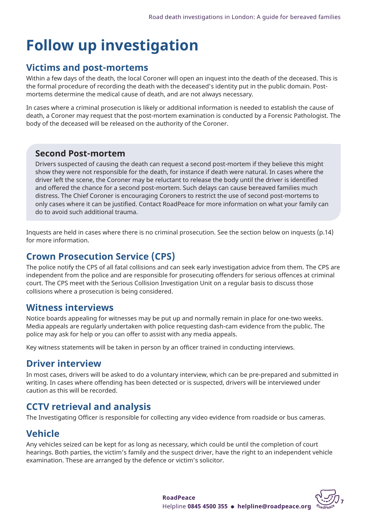## **Follow up investigation**

## **Victims and post-mortems**

Within a few days of the death, the local Coroner will open an inquest into the death of the deceased. This is the formal procedure of recording the death with the deceased's identity put in the public domain. Postmortems determine the medical cause of death, and are not always necessary.

In cases where a criminal prosecution is likely or additional information is needed to establish the cause of death, a Coroner may request that the post-mortem examination is conducted by a Forensic Pathologist. The body of the deceased will be released on the authority of the Coroner.

### **Second Post-mortem**

Drivers suspected of causing the death can request a second post-mortem if they believe this might show they were not responsible for the death, for instance if death were natural. In cases where the driver left the scene, the Coroner may be reluctant to release the body until the driver is identified and offered the chance for a second post-mortem. Such delays can cause bereaved families much distress. The Chief Coroner is encouraging Coroners to restrict the use of second post-mortems to only cases where it can be justified. Contact RoadPeace for more information on what your family can do to avoid such additional trauma.

Inquests are held in cases where there is no criminal prosecution. See the section below on inquests (p.14) for more information.

## **Crown Prosecution Service (CPS)**

The police notify the CPS of all fatal collisions and can seek early investigation advice from them. The CPS are independent from the police and are responsible for prosecuting offenders for serious offences at criminal court. The CPS meet with the Serious Collision Investigation Unit on a regular basis to discuss those collisions where a prosecution is being considered.

## **Witness interviews**

Notice boards appealing for witnesses may be put up and normally remain in place for one-two weeks. Media appeals are regularly undertaken with police requesting dash-cam evidence from the public. The police may ask for help or you can offer to assist with any media appeals.

Key witness statements will be taken in person by an officer trained in conducting interviews.

## **Driver interview**

In most cases, drivers will be asked to do a voluntary interview, which can be pre-prepared and submitted in writing. In cases where offending has been detected or is suspected, drivers will be interviewed under caution as this will be recorded.

## **CCTV retrieval and analysis**

The Investigating Officer is responsible for collecting any video evidence from roadside or bus cameras.

## **Vehicle**

Any vehicles seized can be kept for as long as necessary, which could be until the completion of court hearings. Both parties, the victim's family and the suspect driver, have the right to an independent vehicle examination. These are arranged by the defence or victim's solicitor.

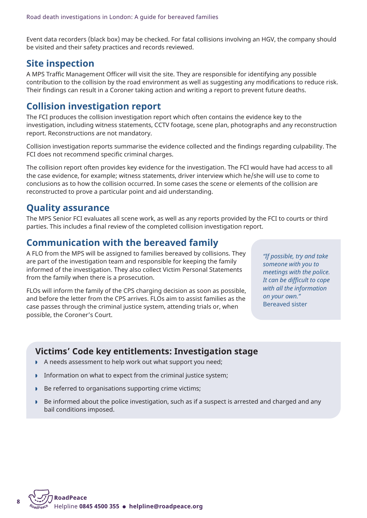Event data recorders (black box) may be checked. For fatal collisions involving an HGV, the company should be visited and their safety practices and records reviewed.

## **Site inspection**

A MPS Traffic Management Officer will visit the site. They are responsible for identifying any possible contribution to the collision by the road environment as well as suggesting any modifications to reduce risk. Their findings can result in a Coroner taking action and writing a report to prevent future deaths.

## **Collision investigation report**

The FCI produces the collision investigation report which often contains the evidence key to the investigation, including witness statements, CCTV footage, scene plan, photographs and any reconstruction report. Reconstructions are not mandatory.

Collision investigation reports summarise the evidence collected and the findings regarding culpability. The FCI does not recommend specific criminal charges.

The collision report often provides key evidence for the investigation. The FCI would have had access to all the case evidence, for example; witness statements, driver interview which he/she will use to come to conclusions as to how the collision occurred. In some cases the scene or elements of the collision are reconstructed to prove a particular point and aid understanding.

## **Quality assurance**

The MPS Senior FCI evaluates all scene work, as well as any reports provided by the FCI to courts or third parties. This includes a final review of the completed collision investigation report.

## **Communication with the bereaved family**

A FLO from the MPS will be assigned to families bereaved by collisions. They are part of the investigation team and responsible for keeping the family informed of the investigation. They also collect Victim Personal Statements from the family when there is a prosecution.

FLOs will inform the family of the CPS charging decision as soon as possible, and before the letter from the CPS arrives. FLOs aim to assist families as the case passes through the criminal justice system, attending trials or, when possible, the Coroner's Court.

*"If possible, try and take someone with you to meetings with the police. It can be difficult to cope with all the information on your own."* Bereaved sister

## **Victims' Code key entitlements: Investigation stage**

- A needs assessment to help work out what support you need;
- $\triangleright$  Information on what to expect from the criminal justice system;
- Be referred to organisations supporting crime victims;
- Be informed about the police investigation, such as if a suspect is arrested and charged and any bail conditions imposed.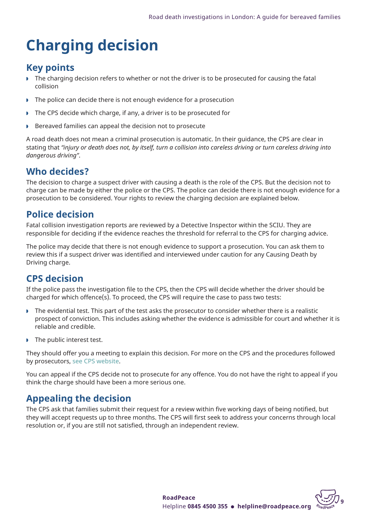## **Charging decision**

## **Key points**

- **F** The charging decision refers to whether or not the driver is to be prosecuted for causing the fatal collision
- $\triangleright$  The police can decide there is not enough evidence for a prosecution
- $\triangleright$  The CPS decide which charge, if any, a driver is to be prosecuted for
- Bereaved families can appeal the decision not to prosecute

A road death does not mean a criminal prosecution is automatic. In their guidance, the CPS are clear in stating that "injury or death does not, by itself, turn a collision into careless driving or turn careless driving into *dangerous driving"*.

## **Who decides?**

The decision to charge a suspect driver with causing a death is the role of the CPS. But the decision not to charge can be made by either the police or the CPS. The police can decide there is not enough evidence for a prosecution to be considered. Your rights to review the charging decision are explained below.

## **Police decision**

Fatal collision investigation reports are reviewed by a Detective Inspector within the SCIU. They are responsible for deciding if the evidence reaches the threshold for referral to the CPS for charging advice.

The police may decide that there is not enough evidence to support a prosecution. You can ask them to review this if a suspect driver was identified and interviewed under caution for any Causing Death by Driving charge.

## **CPS decision**

If the police pass the investigation file to the CPS, then the CPS will decide whether the driver should be charged for which offence(s). To proceed, the CPS will require the case to pass two tests:

- $\triangleright$  The evidential test. This part of the test asks the prosecutor to consider whether there is a realistic prospect of conviction. This includes asking whether the evidence is admissible for court and whether it is reliable and credible.
- The public interest test.

They should offer you a meeting to explain this decision. For more on the CPS and the procedures followed by prosecutors, see CPS [website.](https://www.cps.gov.uk/publication/code-crown-prosecutors)

You can appeal if the CPS decide not to prosecute for any offence. You do not have the right to appeal if you think the charge should have been a more serious one.

## **Appealing the decision**

The CPS ask that families submit their request for a review within five working days of being notified, but they will accept requests up to three months. The CPS will first seek to address your concerns through local resolution or, if you are still not satisfied, through an independent review.

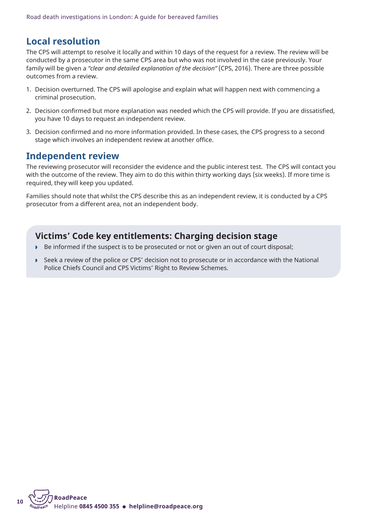## **Local resolution**

The CPS will attempt to resolve it locally and within 10 days of the request for a review. The review will be conducted by a prosecutor in the same CPS area but who was not involved in the case previously. Your family will be given a *"clear and detailed explanation of the decision"* (CPS, 2016). There are three possible outcomes from a review.

- 1. Decision overturned. The CPS will apologise and explain what will happen next with commencing a criminal prosecution.
- 2. Decision confirmed but more explanation was needed which the CPS will provide. If you are dissatisfied, you have 10 days to request an independent review.
- 3. Decision confirmed and no more information provided. In these cases, the CPS progress to a second stage which involves an independent review at another office.

## **Independent review**

The reviewing prosecutor will reconsider the evidence and the public interest test. The CPS will contact you with the outcome of the review. They aim to do this within thirty working days (six weeks). If more time is required, they will keep you updated.

Families should note that whilst the CPS describe this as an independent review, it is conducted by a CPS prosecutor from a different area, not an independent body.

## **Victims' Code key entitlements: Charging decision stage**

- Be informed if the suspect is to be prosecuted or not or given an out of court disposal;
- Seek a review of the police or CPS' decision not to prosecute or in accordance with the National Police Chiefs Council and CPS Victims' Right to Review Schemes.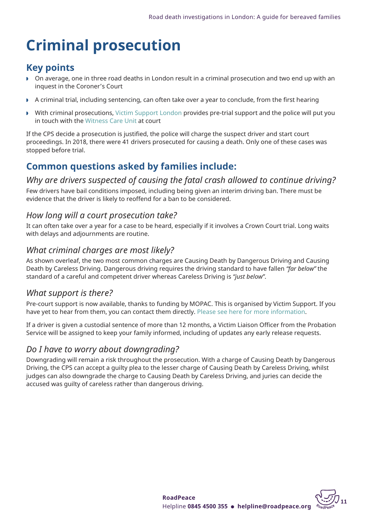## **Criminal prosecution**

## **Key points**

- w On average, one in three road deaths in London result in a criminal prosecution and two end up with an inquest in the Coroner's Court
- $\triangleright$  A criminal trial, including sentencing, can often take over a year to conclude, from the first hearing
- With criminal prosecutions, Victim [Support](https://www.victimsupport.org.uk/help-and-support/get-help/support-near-you/england/) London provides pre-trial support and the police will put you in touch with the [Witness](https://www.met.police.uk/advice/advice-and-information/wvs/victim-and-witness-support/) Care Unit at court

If the CPS decide a prosecution is justified, the police will charge the suspect driver and start court proceedings. In 2018, there were 41 drivers prosecuted for causing a death. Only one of these cases was stopped before trial.

## **Common questions asked by families include:**

## *Why are drivers suspected of causing the fatal crash allowed to continue driving?*

Few drivers have bail conditions imposed, including being given an interim driving ban. There must be evidence that the driver is likely to reoffend for a ban to be considered.

## *How long will a court prosecution take?*

It can often take over a year for a case to be heard, especially if it involves a Crown Court trial. Long waits with delays and adjournments are routine.

## *What criminal charges are most likely?*

As shown overleaf, the two most common charges are Causing Death by Dangerous Driving and Causing Death by Careless Driving. Dangerous driving requires the driving standard to have fallen *"far below"* the standard of a careful and competent driver whereas Careless Driving is *"just below"*.

## *What support is there?*

Pre-court support is now available, thanks to funding by MOPAC. This is organised by Victim Support. If you have yet to hear from them, you can contact them directly. Please see here for more [information.](https://www.victimsupport.org.uk/help-and-support/get-help/support-near-you/england/)

If a driver is given a custodial sentence of more than 12 months, a Victim Liaison Officer from the Probation Service will be assigned to keep your family informed, including of updates any early release requests.

## *Do I have to worry about downgrading?*

Downgrading will remain a risk throughout the prosecution. With a charge of Causing Death by Dangerous Driving, the CPS can accept a guilty plea to the lesser charge of Causing Death by Careless Driving, whilst judges can also downgrade the charge to Causing Death by Careless Driving, and juries can decide the accused was guilty of careless rather than dangerous driving.

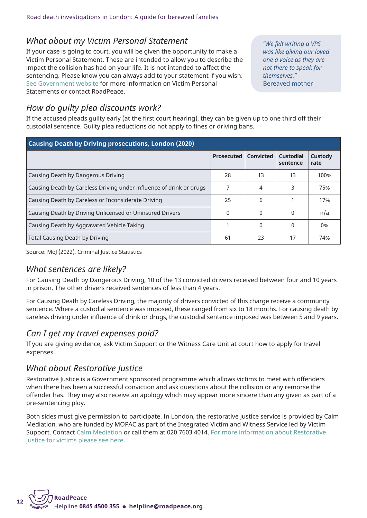## *What about my Victim Personal Statement*

If your case is going to court, you will be given the opportunity to make a Victim Personal Statement. These are intended to allow you to describe the impact the collision has had on your life. It is not intended to affect the sentencing. Please know you can always add to your statement if you wish. See [Government](https://www.gov.uk/government/publications/victim-personal-statement) website for more information on Victim Personal Statements or contact RoadPeace.

*"We felt writing a VPS was like giving our loved one a voice as they are not there to speak for themselves."* Bereaved mother

## *How do guilty plea discounts work?*

If the accused pleads guilty early (at the first court hearing), they can be given up to one third off their custodial sentence. Guilty plea reductions do not apply to fines or driving bans.

| Causing Death by Driving prosecutions, London (2020)                |                   |                  |                              |                        |  |
|---------------------------------------------------------------------|-------------------|------------------|------------------------------|------------------------|--|
|                                                                     | <b>Prosecuted</b> | <b>Convicted</b> | <b>Custodial</b><br>sentence | <b>Custody</b><br>rate |  |
| Causing Death by Dangerous Driving                                  | 28                | 13               | 13                           | 100%                   |  |
| Causing Death by Careless Driving under influence of drink or drugs | 7                 | 4                | 3                            | 75%                    |  |
| Causing Death by Careless or Inconsiderate Driving                  | 25                | 6                |                              | 17%                    |  |
| Causing Death by Driving Unlicensed or Uninsured Drivers            | $\Omega$          | $\Omega$         | <sup>0</sup>                 | n/a                    |  |
| Causing Death by Aggravated Vehicle Taking                          |                   | 0                | 0                            | 0%                     |  |
| Total Causing Death by Driving                                      | 61                | 23               | 17                           | 74%                    |  |

Source: MoJ (2022), Criminal Justice Statistics

### *What sentences are likely?*

For Causing Death by Dangerous Driving, 10 of the 13 convicted drivers received between four and 10 years in prison. The other drivers received sentences of less than 4 years.

For Causing Death by Careless Driving, the majority of drivers convicted of this charge receive a community sentence. Where a custodial sentence was imposed, these ranged from six to 18 months. For causing death by careless driving under influence of drink or drugs, the custodial sentence imposed was between 5 and 9 years.

## *Can I get my travel expenses paid?*

If you are giving evidence, ask Victim Support or the Witness Care Unit at court how to apply for travel expenses.

## *What about Restorative Justice*

Restorative Justice is a Government sponsored programme which allows victims to meet with offenders when there has been a successful conviction and ask questions about the collision or any remorse the offender has. They may also receive an apology which may appear more sincere than any given as part of a pre-sentencing ploy.

Both sides must give permission to participate. In London, the restorative justice service is provided by Calm Mediation, who are funded by MOPAC as part of the Integrated Victim and Witness Service led by Victim Support. Contact Calm [Mediation](mailto:restorativejustice@calmmediation.org) or call them at 020 7603 4014. For more [information](https://bit.ly/3f6mOcV) about Restorative Justice for [victims](https://bit.ly/3f6mOcV) please see here.

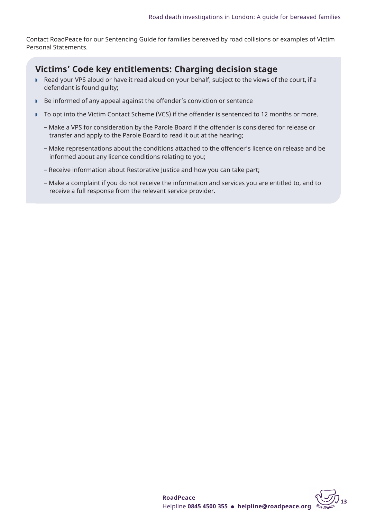Contact RoadPeace for our Sentencing Guide for families bereaved by road collisions or examples of Victim Personal Statements.

## **Victims' Code key entitlements: Charging decision stage**

- w Read your VPS aloud or have it read aloud on your behalf, subject to the views of the court, if a defendant is found guilty;
- Be informed of any appeal against the offender's conviction or sentence
- To opt into the Victim Contact Scheme (VCS) if the offender is sentenced to 12 months or more.
	- Make a VPS for consideration by the Parole Board if the offender is considered for release or transfer and apply to the Parole Board to read it out at the hearing;
	- Make representations about the conditions attached to the offender's licence on release and be informed about any licence conditions relating to you;
	- Receive information about Restorative Justice and how you can take part;
	- Make a complaint if you do not receive the information and services you are entitled to, and to receive a full response from the relevant service provider.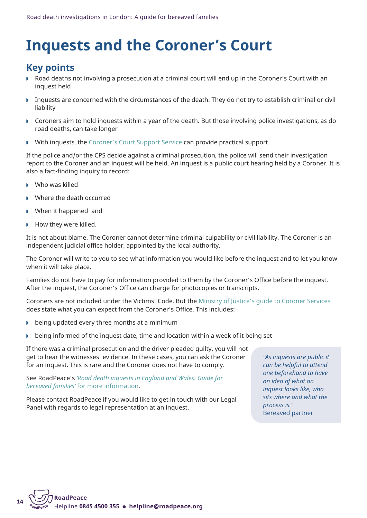## **Inquests and the Coroner's Court**

## **Key points**

- w Road deaths not involving a prosecution at a criminal court will end up in the Coroner's Court with an inquest held
- w Inquests are concerned with the circumstances of the death. They do not try to establish criminal or civil liability
- w Coroners aim to hold inquests within a year of the death. But those involving police investigations, as do road deaths, can take longer
- I With inquests, the [Coroner's](https://coronerscourtssupportservice.org.uk/) Court Support Service can provide practical support

If the police and/or the CPS decide against a criminal prosecution, the police will send their investigation report to the Coroner and an inquest will be held. An inquest is a public court hearing held by a Coroner. It is also a fact-finding inquiry to record:

- $\triangleright$  Who was killed
- Where the death occurred
- **When it happened and**
- $\blacktriangleright$  How they were killed.

It is not about blame. The Coroner cannot determine criminal culpability or civil liability. The Coroner is an independent judicial office holder, appointed by the local authority.

The Coroner will write to you to see what information you would like before the inquest and to let you know when it will take place.

Families do not have to pay for information provided to them by the Coroner's Office before the inquest. After the inquest, the Coroner's Office can charge for photocopies or transcripts.

Coroners are not included under the Victims' Code. But the Ministry of Justice's guide to [Coroner](https://assets.publishing.service.gov.uk/government/uploads/system/uploads/attachment_data/file/859076/guide-to-coroner-services-bereaved-people-jan-2020.pdf) Services does state what you can expect from the Coroner's Office. This includes:

- $\triangleright$  being updated every three months at a minimum
- $\triangleright$  being informed of the inquest date, time and location within a week of it being set

If there was a criminal prosecution and the driver pleaded guilty, you will not get to hear the witnesses' evidence. In these cases, you can ask the Coroner for an inquest. This is rare and the Coroner does not have to comply.

#### See RoadPeace's *'Road death [inquests](http://www.roadpeace.org/download/roadpeace-inquest-guide-for-bereaved-families-feb-2017) in England and Wales: Guide for bereaved families'* for more [information.](http://www.roadpeace.org/download/roadpeace-inquest-guide-for-bereaved-families-feb-2017)

Please contact RoadPeace if you would like to get in touch with our Legal Panel with regards to legal representation at an inquest.

*"As inquests are public it can be helpful to attend one beforehand to have an idea of what an inquest looks like, who sits where and what the process is."* Bereaved partner

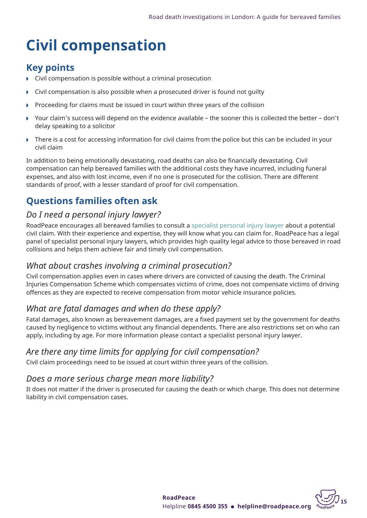## **Civil compensation**

## **Key points**

- $\triangleright$  Civil compensation is possible without a criminal prosecution
- $\triangleright$  Civil compensation is also possible when a prosecuted driver is found not quilty
- Proceeding for claims must be issued in court within three years of the collision
- Your claim's success will depend on the evidence available the sooner this is collected the better don't delay speaking to a solicitor
- There is a cost for accessing information for civil claims from the police but this can be included in your civil claim

In addition to being emotionally devastating, road deaths can also be financially devastating. Civil compensation can help bereaved families with the additional costs they have incurred, including funeral expenses, and also with lost income, even if no one is prosecuted for the collision. There are different standards of proof, with a lesser standard of proof for civil compensation.

## **Questions families often ask**

## *Do I need a personal injury lawyer?*

RoadPeace encourages all bereaved families to consult a [specialist](http://www.roadpeace.org/support/navigating-the-criminal-justice-system/) personal injury lawyer about a potential civil claim. With their experience and expertise, they will know what you can claim for. RoadPeace has a legal panel of specialist personal injury lawyers, which provides high quality legal advice to those bereaved in road collisions and helps them achieve fair and timely civil compensation.

## *What about crashes involving a criminal prosecution?*

Civil compensation applies even in cases where drivers are convicted of causing the death. The Criminal Injuries Compensation Scheme which compensates victims of crime, does not compensate victims of driving offences as they are expected to receive compensation from motor vehicle insurance policies.

## *What are fatal damages and when do these apply?*

Fatal damages, also known as bereavement damages, are a fixed payment set by the government for deaths caused by negligence to victims without any financial dependents. There are also restrictions set on who can apply, including by age. For more information please contact a specialist personal injury lawyer.

## *Are there any time limits for applying for civil compensation?*

Civil claim proceedings need to be issued at court within three years of the collision.

## *Does a more serious charge mean more liability?*

It does not matter if the driver is prosecuted for causing the death or which charge. This does not determine liability in civil compensation cases.

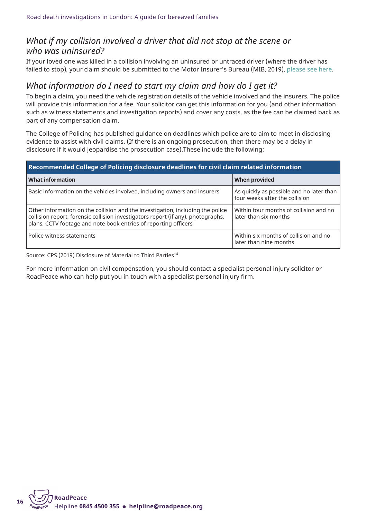### *What if my collision involved a driver that did not stop at the scene or who was uninsured?*

If your loved one was killed in a collision involving an uninsured or untraced driver (where the driver has failed to stop), your claim should be submitted to the Motor Insurer's Bureau (MIB, 2019), [please](https://www.mib.org.uk/making-a-claim/) see here.

### *What information do I need to start my claim and how do I get it?*

To begin a claim, you need the vehicle registration details of the vehicle involved and the insurers. The police will provide this information for a fee. Your solicitor can get this information for you (and other information such as witness statements and investigation reports) and cover any costs, as the fee can be claimed back as part of any compensation claim.

The College of Policing has published guidance on deadlines which police are to aim to meet in disclosing evidence to assist with civil claims. (If there is an ongoing prosecution, then there may be a delay in disclosure if it would jeopardise the prosecution case).These include the following:

#### **Recommended College of Policing disclosure deadlines for civil claim related information**

| <b>What information</b>                                                                                                                                                                                                               | <b>When provided</b>                                                       |  |  |  |
|---------------------------------------------------------------------------------------------------------------------------------------------------------------------------------------------------------------------------------------|----------------------------------------------------------------------------|--|--|--|
| Basic information on the vehicles involved, including owners and insurers                                                                                                                                                             | As quickly as possible and no later than<br>four weeks after the collision |  |  |  |
| Other information on the collision and the investigation, including the police<br>collision report, forensic collision investigators report (if any), photographs,<br>plans, CCTV footage and note book entries of reporting officers | Within four months of collision and no<br>later than six months            |  |  |  |
| Police witness statements                                                                                                                                                                                                             | Within six months of collision and no<br>later than nine months            |  |  |  |

Source: CPS (2019) Disclosure of Material to Third Parties<sup>14</sup>

For more information on civil compensation, you should contact a specialist personal injury solicitor or RoadPeace who can help put you in touch with a specialist personal injury firm.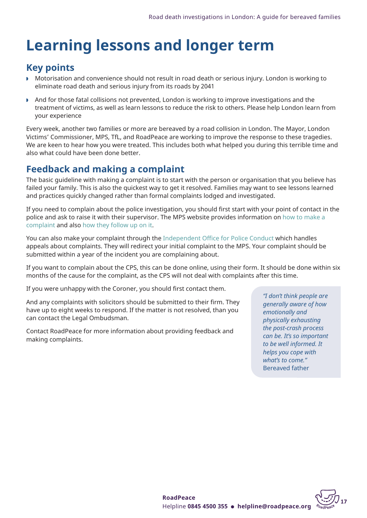## **Learning lessons and longer term**

## **Key points**

- w Motorisation and convenience should not result in road death or serious injury. London is working to eliminate road death and serious injury from its roads by 2041
- And for those fatal collisions not prevented, London is working to improve investigations and the treatment of victims, as well as learn lessons to reduce the risk to others. Please help London learn from your experience

Every week, another two families or more are bereaved by a road collision in London. The Mayor, London Victims' Commissioner, MPS, TfL, and RoadPeace are working to improve the response to these tragedies. We are keen to hear how you were treated. This includes both what helped you during this terrible time and also what could have been done better.

## **Feedback and making a complaint**

The basic guideline with making a complaint is to start with the person or organisation that you believe has failed your family. This is also the quickest way to get it resolved. Families may want to see lessons learned and practices quickly changed rather than formal complaints lodged and investigated.

If you need to complain about the police investigation, you should first start with your point of contact in the police and ask to raise it with their supervisor. The MPS website provides information on how to [make](https://www.met.police.uk/fo/feedback/tcs/complaints-triage/) a [complaint](https://www.met.police.uk/fo/feedback/tcs/complaints-triage/) and also how they [follow](https://www.met.police.uk/advice/advice-and-information/c/af/complaints/) up on it.

You can also make your complaint through the [Independent](https://www.policeconduct.gov.uk/complaints-and-appeals/make-complaint) Office for Police Conduct which handles appeals about complaints. They will redirect your initial complaint to the MPS. Your complaint should be submitted within a year of the incident you are complaining about.

If you want to complain about the CPS, this can be done online, using their form. It should be done within six months of the cause for the complaint, as the CPS will not deal with complaints after this time.

If you were unhappy with the Coroner, you should first contact them.

And any complaints with solicitors should be submitted to their firm. They have up to eight weeks to respond. If the matter is not resolved, than you can contact the Legal Ombudsman.

Contact RoadPeace for more information about providing feedback and making complaints.

*"I don't think people are generally aware of how emotionally and physically exhausting the post-crash process can be. It's so important to be well informed. It helps you cope with what's to come."* Bereaved father

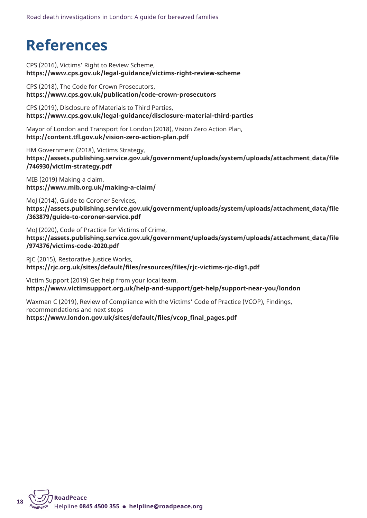## **References**

CPS (2016), Victims' Right to Review Scheme, **<https://www.cps.gov.uk/legal-guidance/victims-right-review-scheme>**

CPS (2018), The Code for Crown Prosecutors, **<https://www.cps.gov.uk/publication/code-crown-prosecutors>**

CPS (2019), Disclosure of Materials to Third Parties, **<https://www.cps.gov.uk/legal-guidance/disclosure-material-third-parties>**

Mayor of London and Transport for London (2018), Vision Zero Action Plan, **<http://content.tfl.gov.uk/vision-zero-action-plan.pdf>**

HM Government (2018), Victims Strategy, **[https://assets.publishing.service.gov.uk/government/uploads/system/uploads/attachment\\_data/file](https://assets.publishing.service.gov.uk/government/uploads/system/uploads/attachment_data/file/746930/victim-strategy.pdf) [/746930/victim-strategy.pdf](https://assets.publishing.service.gov.uk/government/uploads/system/uploads/attachment_data/file/746930/victim-strategy.pdf)**

MIB (2019) Making a claim, **<https://www.mib.org.uk/making-a-claim/>**

MoJ (2014), Guide to Coroner Services, **[https://assets.publishing.service.gov.uk/government/uploads/system/uploads/attachment\\_data/file](https://assets.publishing.service.gov.uk/government/uploads/system/uploads/attachment_data/file/363879/guide-to-coroner-service.pdf) [/363879/guide-to-coroner-service.pdf](https://assets.publishing.service.gov.uk/government/uploads/system/uploads/attachment_data/file/363879/guide-to-coroner-service.pdf)**

MoJ (2020), Code of Practice for Victims of Crime, **[https://assets.publishing.service.gov.uk/government/uploads/system/uploads/attachment\\_data/file](https://assets.publishing.service.gov.uk/government/uploads/system/uploads/attachment_data/file/974376/victims-code-2020.pdf) [/974376/victims-code-2020.pdf](https://assets.publishing.service.gov.uk/government/uploads/system/uploads/attachment_data/file/974376/victims-code-2020.pdf)**

RJC (2015), Restorative Justice Works, **[https://rjc.org.uk/sites/default/files/resources/files/rjc-victims-rjc-dig1.pdf](https://bit.ly/38wJjFp)**

Victim Support (2019) Get help from your local team, **<https://www.victimsupport.org.uk/help-and-support/get-help/support-near-you/london>**

Waxman C (2019), Review of Compliance with the Victims' Code of Practice (VCOP), Findings, recommendations and next steps

**[https://www.london.gov.uk/sites/default/files/vcop\\_final\\_pages.pdf](https://bit.ly/3iBJuDZ)**

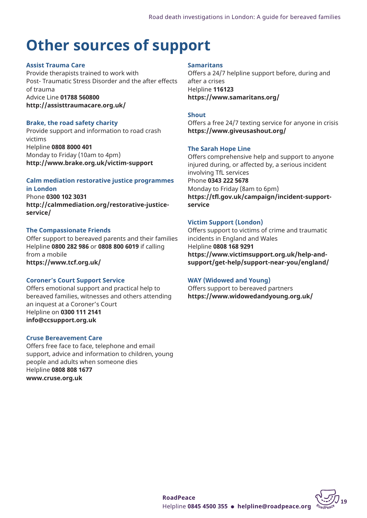## **Other sources of support**

### **Assist Trauma Care**

Provide therapists trained to work with Post- Traumatic Stress Disorder and the after effects of trauma Advice Line **01788 560800 <http://assisttraumacare.org.uk/>**

#### **Brake, the road safety charity**

Provide support and information to road crash victims Helpline **0808 8000 401** Monday to Friday (10am to 4pm) **<http://www.brake.org.uk/victim-support>**

#### **Calm mediation restorative justice programmes in London**

Phone **0300 102 3031 [http://calmmediation.org/restorative-justice](http://calmmediation.org/restorative-justice-service/)[service/](http://calmmediation.org/restorative-justice-service/)**

### **The Compassionate Friends**

Offer support to bereaved parents and their families Helpline **0800 282 986** or **0808 800 6019** if calling from a mobile **<https://www.tcf.org.uk/>**

### **Coroner's Court Support Service**

Offers emotional support and practical help to bereaved families, witnesses and others attending an inquest at a Coroner's Court Helpline on **0300 111 2141 [info@ccsupport.org.uk](mailto:info@ccsupport.org.uk)**

### **Cruse Bereavement Care**

Offers free face to face, telephone and email support, advice and information to children, young people and adults when someone dies Helpline **0808 808 1677 <www.cruse.org.uk>**

#### **Samaritans**

Offers a 24/7 helpline support before, during and after a crises Helpline **116123 <https://www.samaritans.org/>**

### **Shout**

Offers a free 24/7 texting service for anyone in crisis **<https://www.giveusashout.org/>**

#### **The Sarah Hope Line**

Offers comprehensive help and support to anyone injured during, or affected by, a serious incident involving TfL services Phone **0343 222 5678** Monday to Friday (8am to 6pm) **[https://tfl.gov.uk/campaign/incident-support](https://tfl.gov.uk/campaign/incident-support-service)[service](https://tfl.gov.uk/campaign/incident-support-service)**

### **Victim Support (London)**

Offers support to victims of crime and traumatic incidents in England and Wales Helpline **0808 168 9291 [https://www.victimsupport.org.uk/help-and](https://www.victimsupport.org.uk/help-and-support/get-help/support-near-you/england/)[support/get-help/support-near-you/england/](https://www.victimsupport.org.uk/help-and-support/get-help/support-near-you/england/)**

### **WAY (Widowed and Young)**

Offers support to bereaved partners **<https://www.widowedandyoung.org.uk/>**